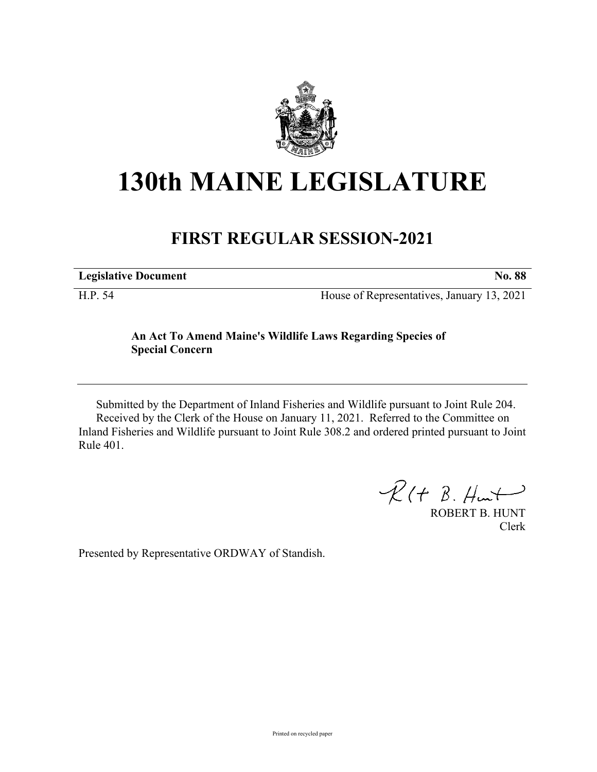

## **130th MAINE LEGISLATURE**

## **FIRST REGULAR SESSION-2021**

**Legislative Document No. 88** H.P. 54 House of Representatives, January 13, 2021

## **An Act To Amend Maine's Wildlife Laws Regarding Species of Special Concern**

Submitted by the Department of Inland Fisheries and Wildlife pursuant to Joint Rule 204. Received by the Clerk of the House on January 11, 2021. Referred to the Committee on Inland Fisheries and Wildlife pursuant to Joint Rule 308.2 and ordered printed pursuant to Joint Rule 401.

 $R(H B. H<sup>u</sup>)$ 

ROBERT B. HUNT Clerk

Presented by Representative ORDWAY of Standish.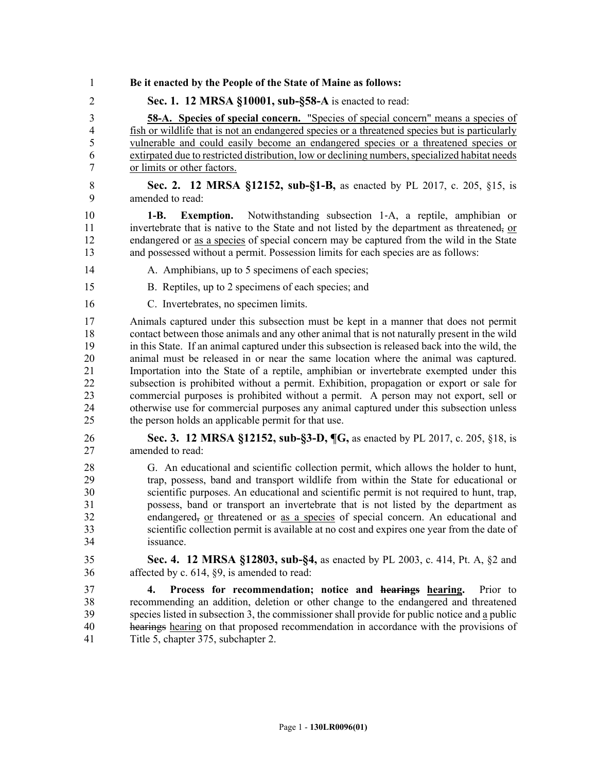- 1 **Be it enacted by the People of the State of Maine as follows:**
- 2 **Sec. 1. 12 MRSA §10001, sub-§58-A** is enacted to read:

3 **58-A. Species of special concern.** "Species of special concern" means a species of 4 fish or wildlife that is not an endangered species or a threatened species but is particularly 5 vulnerable and could easily become an endangered species or a threatened species or 6 extirpated due to restricted distribution, low or declining numbers, specialized habitat needs 7 or limits or other factors.

8 **Sec. 2. 12 MRSA §12152, sub-§1-B,** as enacted by PL 2017, c. 205, §15, is 9 amended to read:

10 **1-B. Exemption.** Notwithstanding subsection 1‑A, a reptile, amphibian or 11 invertebrate that is native to the State and not listed by the department as threatened, or 12 endangered or as a species of special concern may be captured from the wild in the State 13 and possessed without a permit. Possession limits for each species are as follows:

- 14 A. Amphibians, up to 5 specimens of each species;
- 15 B. Reptiles, up to 2 specimens of each species; and
- 16 C. Invertebrates, no specimen limits.

17 Animals captured under this subsection must be kept in a manner that does not permit 18 contact between those animals and any other animal that is not naturally present in the wild 19 in this State. If an animal captured under this subsection is released back into the wild, the 20 animal must be released in or near the same location where the animal was captured. 21 Importation into the State of a reptile, amphibian or invertebrate exempted under this 22 subsection is prohibited without a permit. Exhibition, propagation or export or sale for 23 commercial purposes is prohibited without a permit. A person may not export, sell or 24 otherwise use for commercial purposes any animal captured under this subsection unless 25 the person holds an applicable permit for that use.

- 26 **Sec. 3. 12 MRSA §12152, sub-§3-D, ¶G,** as enacted by PL 2017, c. 205, §18, is 27 amended to read:
- 28 G. An educational and scientific collection permit, which allows the holder to hunt, 29 trap, possess, band and transport wildlife from within the State for educational or 30 scientific purposes. An educational and scientific permit is not required to hunt, trap, 31 possess, band or transport an invertebrate that is not listed by the department as 32 endangered, or threatened or as a species of special concern. An educational and 33 scientific collection permit is available at no cost and expires one year from the date of 34 issuance.
- 35 **Sec. 4. 12 MRSA §12803, sub-§4,** as enacted by PL 2003, c. 414, Pt. A, §2 and 36 affected by c. 614, §9, is amended to read:

37 **4. Process for recommendation; notice and hearings hearing.** Prior to 38 recommending an addition, deletion or other change to the endangered and threatened 39 species listed in subsection 3, the commissioner shall provide for public notice and a public 40 hearings hearing on that proposed recommendation in accordance with the provisions of 41 Title 5, chapter 375, subchapter 2.